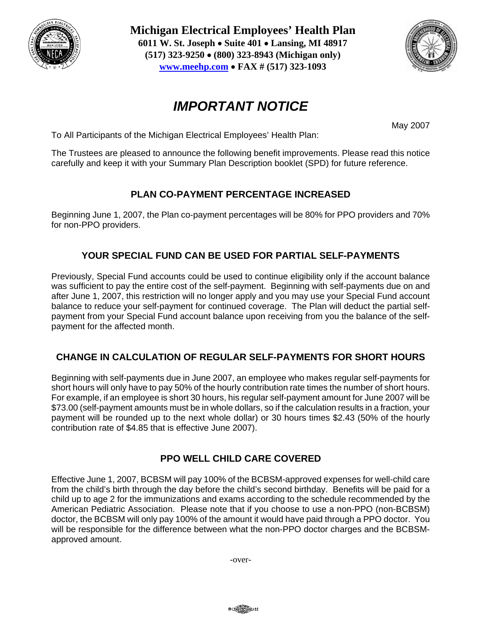

**Michigan Electrical Employees' Health Plan 6011 W. St. Joseph** • **Suite 401** • **Lansing, MI 48917 (517) 323-9250** • **(800) 323-8943 (Michigan only) www.meehp.com** • **FAX # (517) 323-1093** 



# *IMPORTANT NOTICE*

May 2007

To All Participants of the Michigan Electrical Employees' Health Plan:

The Trustees are pleased to announce the following benefit improvements. Please read this notice carefully and keep it with your Summary Plan Description booklet (SPD) for future reference.

# **PLAN CO-PAYMENT PERCENTAGE INCREASED**

Beginning June 1, 2007, the Plan co-payment percentages will be 80% for PPO providers and 70% for non-PPO providers.

# **YOUR SPECIAL FUND CAN BE USED FOR PARTIAL SELF-PAYMENTS**

Previously, Special Fund accounts could be used to continue eligibility only if the account balance was sufficient to pay the entire cost of the self-payment. Beginning with self-payments due on and after June 1, 2007, this restriction will no longer apply and you may use your Special Fund account balance to reduce your self-payment for continued coverage. The Plan will deduct the partial selfpayment from your Special Fund account balance upon receiving from you the balance of the selfpayment for the affected month.

### **CHANGE IN CALCULATION OF REGULAR SELF-PAYMENTS FOR SHORT HOURS**

Beginning with self-payments due in June 2007, an employee who makes regular self-payments for short hours will only have to pay 50% of the hourly contribution rate times the number of short hours. For example, if an employee is short 30 hours, his regular self-payment amount for June 2007 will be \$73.00 (self-payment amounts must be in whole dollars, so if the calculation results in a fraction, your payment will be rounded up to the next whole dollar) or 30 hours times \$2.43 (50% of the hourly contribution rate of \$4.85 that is effective June 2007).

### **PPO WELL CHILD CARE COVERED**

Effective June 1, 2007, BCBSM will pay 100% of the BCBSM-approved expenses for well-child care from the child's birth through the day before the child's second birthday. Benefits will be paid for a child up to age 2 for the immunizations and exams according to the schedule recommended by the American Pediatric Association. Please note that if you choose to use a non-PPO (non-BCBSM) doctor, the BCBSM will only pay 100% of the amount it would have paid through a PPO doctor. You will be responsible for the difference between what the non-PPO doctor charges and the BCBSMapproved amount.

-over-

00 Contra 150 33